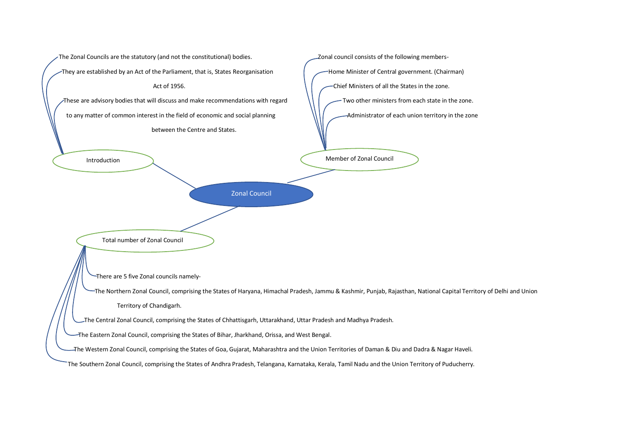